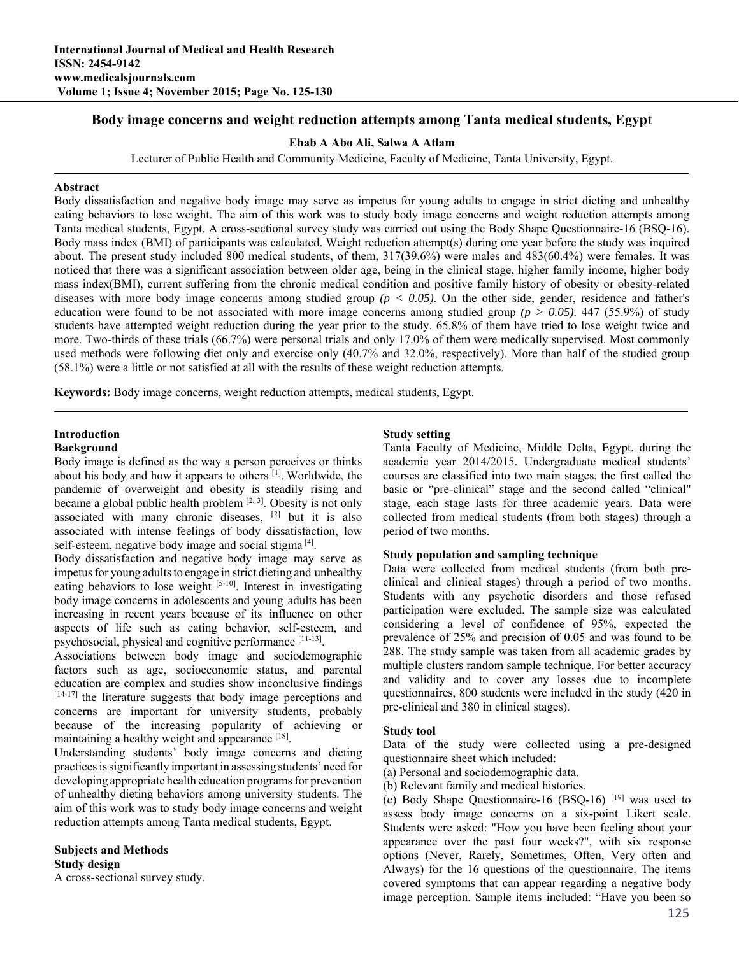# **Body image concerns and weight reduction attempts among Tanta medical students, Egypt**

#### **Ehab A Abo Ali, Salwa A Atlam**

Lecturer of Public Health and Community Medicine, Faculty of Medicine, Tanta University, Egypt.

#### **Abstract**

Body dissatisfaction and negative body image may serve as impetus for young adults to engage in strict dieting and unhealthy eating behaviors to lose weight. The aim of this work was to study body image concerns and weight reduction attempts among Tanta medical students, Egypt. A cross-sectional survey study was carried out using the Body Shape Questionnaire-16 (BSQ-16). Body mass index (BMI) of participants was calculated. Weight reduction attempt(s) during one year before the study was inquired about. The present study included 800 medical students, of them, 317(39.6%) were males and 483(60.4%) were females. It was noticed that there was a significant association between older age, being in the clinical stage, higher family income, higher body mass index(BMI), current suffering from the chronic medical condition and positive family history of obesity or obesity-related diseases with more body image concerns among studied group *(p < 0.05)*. On the other side, gender, residence and father's education were found to be not associated with more image concerns among studied group  $(p > 0.05)$ . 447 (55.9%) of study students have attempted weight reduction during the year prior to the study. 65.8% of them have tried to lose weight twice and more. Two-thirds of these trials (66.7%) were personal trials and only 17.0% of them were medically supervised. Most commonly used methods were following diet only and exercise only (40.7% and 32.0%, respectively). More than half of the studied group (58.1%) were a little or not satisfied at all with the results of these weight reduction attempts.

**Keywords:** Body image concerns, weight reduction attempts, medical students, Egypt.

#### **Introduction Background**

## Body image is defined as the way a person perceives or thinks about his body and how it appears to others [1]. Worldwide, the pandemic of overweight and obesity is steadily rising and became a global public health problem  $[2, 3]$ . Obesity is not only associated with many chronic diseases, [2] but it is also associated with intense feelings of body dissatisfaction, low self-esteem, negative body image and social stigma<sup>[4]</sup>.

Body dissatisfaction and negative body image may serve as impetus for young adults to engage in strict dieting and unhealthy eating behaviors to lose weight [5-10]. Interest in investigating body image concerns in adolescents and young adults has been increasing in recent years because of its influence on other aspects of life such as eating behavior, self-esteem, and psychosocial, physical and cognitive performance [11-13].

Associations between body image and sociodemographic factors such as age, socioeconomic status, and parental education are complex and studies show inconclusive findings [14-17] the literature suggests that body image perceptions and concerns are important for university students, probably because of the increasing popularity of achieving or maintaining a healthy weight and appearance [18].

Understanding students' body image concerns and dieting practices is significantly important in assessing students' need for developing appropriate health education programs for prevention of unhealthy dieting behaviors among university students. The aim of this work was to study body image concerns and weight reduction attempts among Tanta medical students, Egypt.

# **Subjects and Methods Study design**

A cross-sectional survey study.

## **Study setting**

Tanta Faculty of Medicine, Middle Delta, Egypt, during the academic year 2014/2015. Undergraduate medical students' courses are classified into two main stages, the first called the basic or "pre-clinical" stage and the second called "clinical" stage, each stage lasts for three academic years. Data were collected from medical students (from both stages) through a period of two months.

### **Study population and sampling technique**

Data were collected from medical students (from both preclinical and clinical stages) through a period of two months. Students with any psychotic disorders and those refused participation were excluded. The sample size was calculated considering a level of confidence of 95%, expected the prevalence of 25% and precision of 0.05 and was found to be 288. The study sample was taken from all academic grades by multiple clusters random sample technique. For better accuracy and validity and to cover any losses due to incomplete questionnaires, 800 students were included in the study (420 in pre-clinical and 380 in clinical stages).

#### **Study tool**

Data of the study were collected using a pre-designed questionnaire sheet which included:

- (a) Personal and sociodemographic data.
- (b) Relevant family and medical histories.

(c) Body Shape Questionnaire-16 (BSQ-16) [19] was used to assess body image concerns on a six-point Likert scale. Students were asked: "How you have been feeling about your appearance over the past four weeks?", with six response options (Never, Rarely, Sometimes, Often, Very often and Always) for the 16 questions of the questionnaire. The items covered symptoms that can appear regarding a negative body image perception. Sample items included: "Have you been so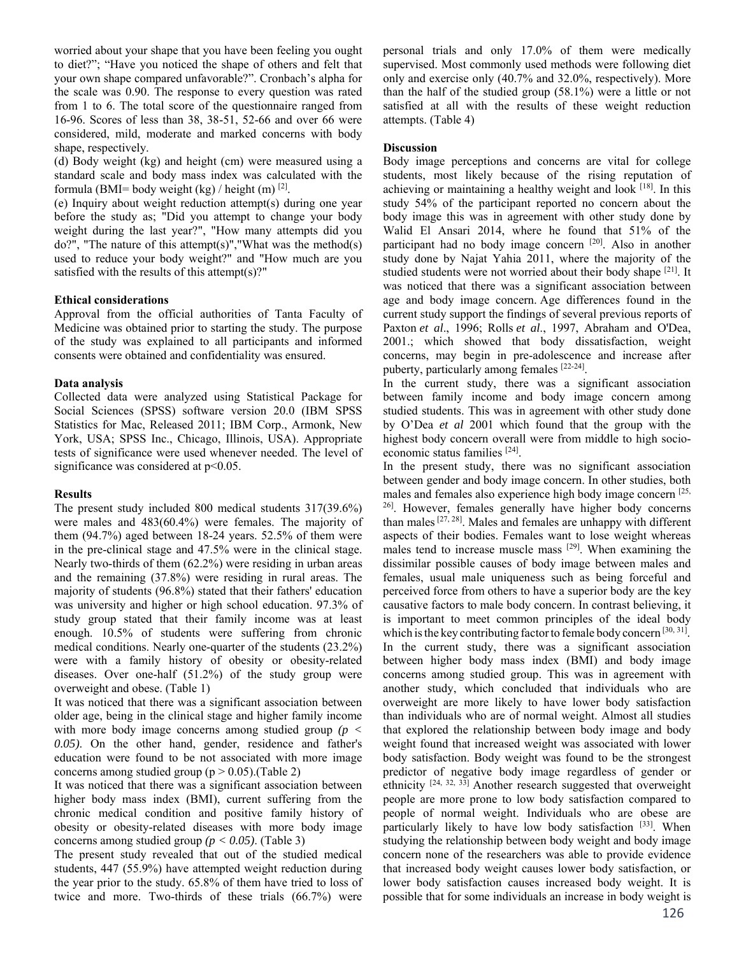worried about your shape that you have been feeling you ought to diet?"; "Have you noticed the shape of others and felt that your own shape compared unfavorable?". Cronbach's alpha for the scale was 0.90. The response to every question was rated from 1 to 6. The total score of the questionnaire ranged from 16-96. Scores of less than 38, 38-51, 52-66 and over 66 were considered, mild, moderate and marked concerns with body shape, respectively.

(d) Body weight (kg) and height (cm) were measured using a standard scale and body mass index was calculated with the formula (BMI= body weight (kg) / height (m)  $^{[2]}$ .

(e) Inquiry about weight reduction attempt(s) during one year before the study as; "Did you attempt to change your body weight during the last year?", "How many attempts did you  $do$ ?", "The nature of this attempt(s)", "What was the method(s) used to reduce your body weight?" and "How much are you satisfied with the results of this attempt(s)?"

## **Ethical considerations**

Approval from the official authorities of Tanta Faculty of Medicine was obtained prior to starting the study. The purpose of the study was explained to all participants and informed consents were obtained and confidentiality was ensured.

## **Data analysis**

Collected data were analyzed using Statistical Package for Social Sciences (SPSS) software version 20.0 (IBM SPSS Statistics for Mac, Released 2011; IBM Corp., Armonk, New York, USA; SPSS Inc., Chicago, Illinois, USA). Appropriate tests of significance were used whenever needed. The level of significance was considered at  $p<0.05$ .

### **Results**

The present study included 800 medical students 317(39.6%) were males and 483(60.4%) were females. The majority of them (94.7%) aged between 18-24 years. 52.5% of them were in the pre-clinical stage and 47.5% were in the clinical stage. Nearly two-thirds of them (62.2%) were residing in urban areas and the remaining (37.8%) were residing in rural areas. The majority of students (96.8%) stated that their fathers' education was university and higher or high school education. 97.3% of study group stated that their family income was at least enough. 10.5% of students were suffering from chronic medical conditions. Nearly one-quarter of the students (23.2%) were with a family history of obesity or obesity-related diseases. Over one-half (51.2%) of the study group were overweight and obese. (Table 1)

It was noticed that there was a significant association between older age, being in the clinical stage and higher family income with more body image concerns among studied group *(p < 0.05)*. On the other hand, gender, residence and father's education were found to be not associated with more image concerns among studied group ( $p > 0.05$ ).(Table 2)

It was noticed that there was a significant association between higher body mass index (BMI), current suffering from the chronic medical condition and positive family history of obesity or obesity-related diseases with more body image concerns among studied group *(p < 0.05)*. (Table 3)

The present study revealed that out of the studied medical students, 447 (55.9%) have attempted weight reduction during the year prior to the study. 65.8% of them have tried to loss of twice and more. Two-thirds of these trials (66.7%) were personal trials and only 17.0% of them were medically supervised. Most commonly used methods were following diet only and exercise only (40.7% and 32.0%, respectively). More than the half of the studied group (58.1%) were a little or not satisfied at all with the results of these weight reduction attempts. (Table 4)

## **Discussion**

Body image perceptions and concerns are vital for college students, most likely because of the rising reputation of achieving or maintaining a healthy weight and look [18]. In this study 54% of the participant reported no concern about the body image this was in agreement with other study done by Walid El Ansari 2014, where he found that 51% of the participant had no body image concern [20]. Also in another study done by Najat Yahia 2011, where the majority of the studied students were not worried about their body shape [21]. It was noticed that there was a significant association between age and body image concern. Age differences found in the current study support the findings of several previous reports of Paxton *et al*., 1996; Rolls *et al*., 1997, Abraham and O'Dea, 2001.; which showed that body dissatisfaction, weight concerns, may begin in pre-adolescence and increase after puberty, particularly among females [22-24].

In the current study, there was a significant association between family income and body image concern among studied students. This was in agreement with other study done by O'Dea *et al* 2001 which found that the group with the highest body concern overall were from middle to high socioeconomic status families [24].

In the present study, there was no significant association between gender and body image concern. In other studies, both males and females also experience high body image concern [25,] 26]. However, females generally have higher body concerns than males [27, 28]. Males and females are unhappy with different aspects of their bodies. Females want to lose weight whereas males tend to increase muscle mass [29]. When examining the dissimilar possible causes of body image between males and females, usual male uniqueness such as being forceful and perceived force from others to have a superior body are the key causative factors to male body concern. In contrast believing, it is important to meet common principles of the ideal body which is the key contributing factor to female body concern  $[30, 31]$ . In the current study, there was a significant association between higher body mass index (BMI) and body image concerns among studied group. This was in agreement with another study, which concluded that individuals who are overweight are more likely to have lower body satisfaction than individuals who are of normal weight. Almost all studies that explored the relationship between body image and body weight found that increased weight was associated with lower body satisfaction. Body weight was found to be the strongest predictor of negative body image regardless of gender or ethnicity <sup>[24, 32, 33]</sup> Another research suggested that overweight people are more prone to low body satisfaction compared to people of normal weight. Individuals who are obese are particularly likely to have low body satisfaction [33]. When studying the relationship between body weight and body image concern none of the researchers was able to provide evidence that increased body weight causes lower body satisfaction, or lower body satisfaction causes increased body weight. It is possible that for some individuals an increase in body weight is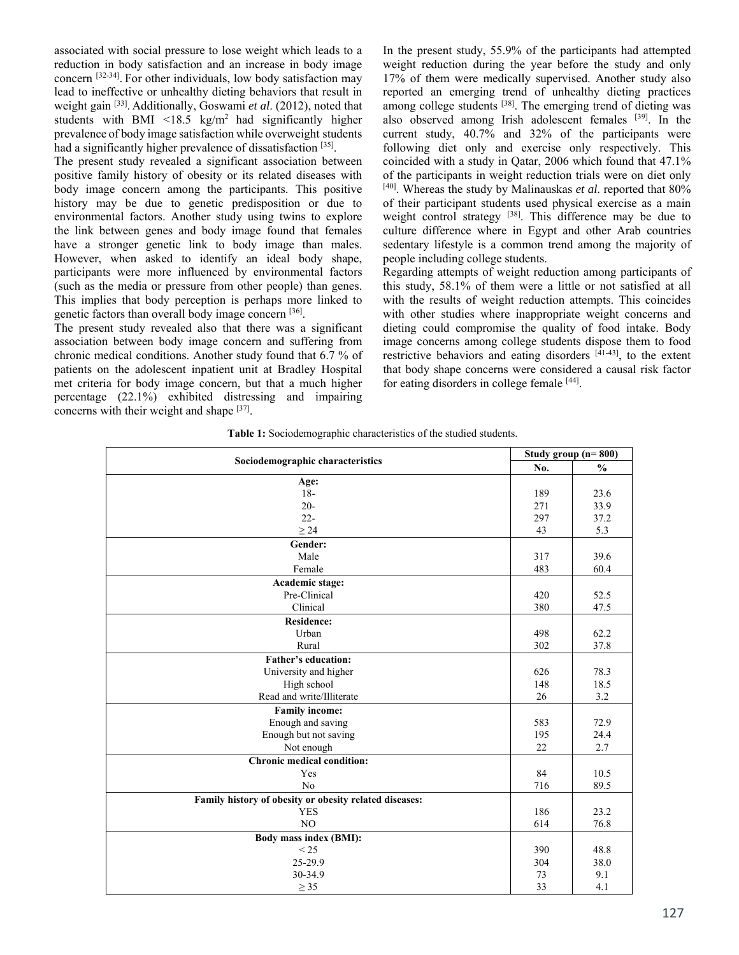associated with social pressure to lose weight which leads to a reduction in body satisfaction and an increase in body image concern [32-34]. For other individuals, low body satisfaction may lead to ineffective or unhealthy dieting behaviors that result in weight gain [33]. Additionally, Goswami *et al*. (2012), noted that students with BMI <18.5 kg/m<sup>2</sup> had significantly higher prevalence of body image satisfaction while overweight students had a significantly higher prevalence of dissatisfaction [35].

The present study revealed a significant association between positive family history of obesity or its related diseases with body image concern among the participants. This positive history may be due to genetic predisposition or due to environmental factors. Another study using twins to explore the link between genes and body image found that females have a stronger genetic link to body image than males. However, when asked to identify an ideal body shape, participants were more influenced by environmental factors (such as the media or pressure from other people) than genes. This implies that body perception is perhaps more linked to genetic factors than overall body image concern [36].

The present study revealed also that there was a significant association between body image concern and suffering from chronic medical conditions. Another study found that 6.7 % of patients on the adolescent inpatient unit at Bradley Hospital met criteria for body image concern, but that a much higher percentage (22.1%) exhibited distressing and impairing concerns with their weight and shape [37].

In the present study, 55.9% of the participants had attempted weight reduction during the year before the study and only 17% of them were medically supervised. Another study also reported an emerging trend of unhealthy dieting practices among college students <sup>[38]</sup>. The emerging trend of dieting was also observed among Irish adolescent females <sup>[39]</sup>. In the current study, 40.7% and 32% of the participants were following diet only and exercise only respectively. This coincided with a study in Qatar, 2006 which found that 47.1% of the participants in weight reduction trials were on diet only [40]. Whereas the study by Malinauskas *et al*. reported that 80% of their participant students used physical exercise as a main weight control strategy [38]. This difference may be due to culture difference where in Egypt and other Arab countries sedentary lifestyle is a common trend among the majority of people including college students.

Regarding attempts of weight reduction among participants of this study, 58.1% of them were a little or not satisfied at all with the results of weight reduction attempts. This coincides with other studies where inappropriate weight concerns and dieting could compromise the quality of food intake. Body image concerns among college students dispose them to food restrictive behaviors and eating disorders  $[41-43]$ , to the extent that body shape concerns were considered a causal risk factor for eating disorders in college female [44].

| Sociodemographic characteristics                       |     | Study group $(n=800)$ |  |  |
|--------------------------------------------------------|-----|-----------------------|--|--|
|                                                        | No. | $\frac{0}{0}$         |  |  |
| Age:                                                   |     |                       |  |  |
| $18-$                                                  | 189 | 23.6                  |  |  |
| $20 -$                                                 | 271 | 33.9                  |  |  |
| $22 -$                                                 | 297 | 37.2                  |  |  |
| $\geq$ 24                                              | 43  | 5.3                   |  |  |
| Gender:                                                |     |                       |  |  |
| Male                                                   | 317 | 39.6                  |  |  |
| Female                                                 | 483 | 60.4                  |  |  |
| Academic stage:                                        |     |                       |  |  |
| Pre-Clinical                                           | 420 | 52.5                  |  |  |
| Clinical                                               | 380 | 47.5                  |  |  |
| <b>Residence:</b>                                      |     |                       |  |  |
| Urban                                                  | 498 | 62.2                  |  |  |
| Rural                                                  | 302 | 37.8                  |  |  |
| Father's education:                                    |     |                       |  |  |
| University and higher                                  | 626 | 78.3                  |  |  |
| High school                                            | 148 | 18.5                  |  |  |
| Read and write/Illiterate                              | 26  | 3.2                   |  |  |
| <b>Family income:</b>                                  |     |                       |  |  |
| Enough and saving                                      | 583 | 72.9                  |  |  |
| Enough but not saving                                  | 195 | 24.4                  |  |  |
| Not enough                                             | 22  | 2.7                   |  |  |
| <b>Chronic medical condition:</b>                      |     |                       |  |  |
| Yes                                                    | 84  | 10.5                  |  |  |
| N <sub>0</sub>                                         | 716 | 89.5                  |  |  |
| Family history of obesity or obesity related diseases: |     |                       |  |  |
| <b>YES</b>                                             | 186 | 23.2                  |  |  |
| N <sub>O</sub>                                         | 614 | 76.8                  |  |  |
| Body mass index (BMI):                                 |     |                       |  |  |
| < 25                                                   | 390 | 48.8                  |  |  |
| 25-29.9                                                | 304 | 38.0                  |  |  |
| 30-34.9                                                | 73  | 9.1                   |  |  |
| $\geq$ 35                                              | 33  | 4.1                   |  |  |

**Table 1:** Sociodemographic characteristics of the studied students.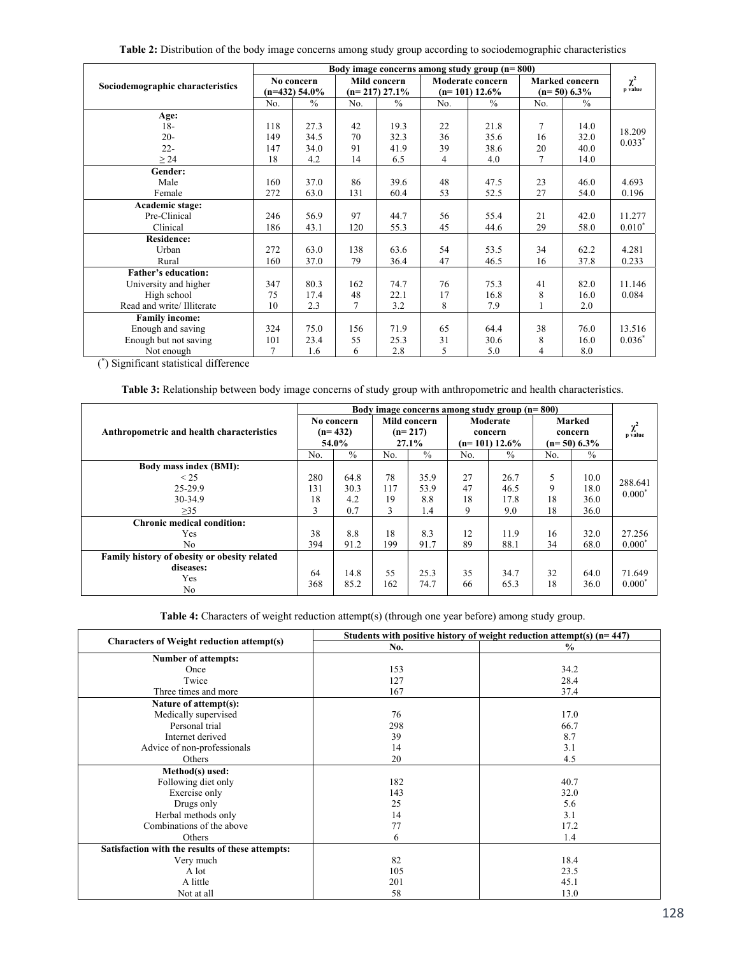| Table 2: Distribution of the body image concerns among study group according to sociodemographic characteristics |  |  |  |
|------------------------------------------------------------------------------------------------------------------|--|--|--|
|                                                                                                                  |  |  |  |

|                                  | Body image concerns among study group (n=800) |               |                 |               |                  |               |                |               |          |
|----------------------------------|-----------------------------------------------|---------------|-----------------|---------------|------------------|---------------|----------------|---------------|----------|
|                                  | No concern                                    |               | Mild concern    |               | Moderate concern |               | Marked concern |               | $\chi^2$ |
| Sociodemographic characteristics | $(n=432)$ 54.0%                               |               | $(n=217)$ 27.1% |               | $(n=101)$ 12.6%  |               | $(n=50)$ 6.3%  |               | p value  |
|                                  | No.                                           | $\frac{0}{0}$ | No.             | $\frac{0}{0}$ | No.              | $\frac{0}{0}$ | No.            | $\frac{0}{0}$ |          |
| Age:                             |                                               |               |                 |               |                  |               |                |               |          |
| $18-$                            | 118                                           | 27.3          | 42              | 19.3          | 22               | 21.8          | 7              | 14.0          | 18.209   |
| $20 -$                           | 149                                           | 34.5          | 70              | 32.3          | 36               | 35.6          | 16             | 32.0          | $0.033*$ |
| $22 -$                           | 147                                           | 34.0          | 91              | 41.9          | 39               | 38.6          | 20             | 40.0          |          |
| $\geq$ 24                        | 18                                            | 4.2           | 14              | 6.5           | 4                | 4.0           | 7              | 14.0          |          |
| Gender:                          |                                               |               |                 |               |                  |               |                |               |          |
| Male                             | 160                                           | 37.0          | 86              | 39.6          | 48               | 47.5          | 23             | 46.0          | 4.693    |
| Female                           | 272                                           | 63.0          | 131             | 60.4          | 53               | 52.5          | 27             | 54.0          | 0.196    |
| Academic stage:                  |                                               |               |                 |               |                  |               |                |               |          |
| Pre-Clinical                     | 246                                           | 56.9          | 97              | 44.7          | 56               | 55.4          | 21             | 42.0          | 11.277   |
| Clinical                         | 186                                           | 43.1          | 120             | 55.3          | 45               | 44.6          | 29             | 58.0          | $0.010*$ |
| <b>Residence:</b>                |                                               |               |                 |               |                  |               |                |               |          |
| Urban                            | 272                                           | 63.0          | 138             | 63.6          | 54               | 53.5          | 34             | 62.2          | 4.281    |
| Rural                            | 160                                           | 37.0          | 79              | 36.4          | 47               | 46.5          | 16             | 37.8          | 0.233    |
| <b>Father's education:</b>       |                                               |               |                 |               |                  |               |                |               |          |
| University and higher            | 347                                           | 80.3          | 162             | 74.7          | 76               | 75.3          | 41             | 82.0          | 11.146   |
| High school                      | 75                                            | 17.4          | 48              | 22.1          | 17               | 16.8          | 8              | 16.0          | 0.084    |
| Read and write/ Illiterate       | 10                                            | 2.3           | 7               | 3.2           | 8                | 7.9           |                | 2.0           |          |
| <b>Family income:</b>            |                                               |               |                 |               |                  |               |                |               |          |
| Enough and saving                | 324                                           | 75.0          | 156             | 71.9          | 65               | 64.4          | 38             | 76.0          | 13.516   |
| Enough but not saving            | 101                                           | 23.4          | 55              | 25.3          | 31               | 30.6          | 8              | 16.0          | $0.036*$ |
| Not enough                       | 7                                             | 1.6           | 6               | 2.8           | 5                | 5.0           | 4              | 8.0           |          |

( \*) Significant statistical difference

**Table 3:** Relationship between body image concerns of study group with anthropometric and health characteristics.

|                                              | Body image concerns among study group $(n=800)$ |               |     |               |     |                  |     |               |                     |
|----------------------------------------------|-------------------------------------------------|---------------|-----|---------------|-----|------------------|-----|---------------|---------------------|
|                                              |                                                 | No concern    |     | Mild concern  |     | Moderate         |     | Marked        |                     |
| Anthropometric and health characteristics    |                                                 | $(n=432)$     |     | $(n=217)$     |     | concern          |     | concern       | $\chi^2$<br>p value |
|                                              |                                                 | 54.0%         |     | 27.1%         |     | $(n=101) 12.6\%$ |     | $(n=50)$ 6.3% |                     |
|                                              | No.                                             | $\frac{0}{0}$ | No. | $\frac{0}{0}$ | No. | $\frac{0}{0}$    | No. | $\frac{0}{0}$ |                     |
| Body mass index (BMI):                       |                                                 |               |     |               |     |                  |     |               |                     |
| $\leq$ 25                                    | 280                                             | 64.8          | 78  | 35.9          | 27  | 26.7             | 5   | 10.0          | 288.641             |
| 25-29.9                                      | 131                                             | 30.3          | 117 | 53.9          | 47  | 46.5             | 9   | 18.0          | $0.000*$            |
| 30-34.9                                      | 18                                              | 4.2           | 19  | 8.8           | 18  | 17.8             | 18  | 36.0          |                     |
| >35                                          | 3                                               | 0.7           | 3   | 1.4           | 9   | 9.0              | 18  | 36.0          |                     |
| <b>Chronic medical condition:</b>            |                                                 |               |     |               |     |                  |     |               |                     |
| Yes                                          | 38                                              | 8.8           | 18  | 8.3           | 12  | 11.9             | 16  | 32.0          | 27.256              |
| No                                           | 394                                             | 91.2          | 199 | 91.7          | 89  | 88.1             | 34  | 68.0          | $0.000*$            |
| Family history of obesity or obesity related |                                                 |               |     |               |     |                  |     |               |                     |
| diseases:                                    | 64                                              | 14.8          | 55  | 25.3          | 35  | 34.7             | 32  | 64.0          | 71.649              |
| Yes                                          | 368                                             | 85.2          | 162 | 74.7          | 66  | 65.3             | 18  | 36.0          | $0.000*$            |
| No                                           |                                                 |               |     |               |     |                  |     |               |                     |

**Table 4:** Characters of weight reduction attempt(s) (through one year before) among study group.

|                                                  | Students with positive history of weight reduction attempt(s) $(n=447)$ |               |  |  |  |  |
|--------------------------------------------------|-------------------------------------------------------------------------|---------------|--|--|--|--|
| Characters of Weight reduction attempt(s)        | No.                                                                     | $\frac{0}{0}$ |  |  |  |  |
| Number of attempts:                              |                                                                         |               |  |  |  |  |
| Once                                             | 153                                                                     | 34.2          |  |  |  |  |
| Twice                                            | 127                                                                     | 28.4          |  |  |  |  |
| Three times and more                             | 167                                                                     | 37.4          |  |  |  |  |
| Nature of attempt(s):                            |                                                                         |               |  |  |  |  |
| Medically supervised                             | 76                                                                      | 17.0          |  |  |  |  |
| Personal trial                                   | 298                                                                     | 66.7          |  |  |  |  |
| Internet derived                                 | 39                                                                      | 8.7           |  |  |  |  |
| Advice of non-professionals                      | 14                                                                      | 3.1           |  |  |  |  |
| Others                                           | 20                                                                      | 4.5           |  |  |  |  |
| Method(s) used:                                  |                                                                         |               |  |  |  |  |
| Following diet only                              | 182                                                                     | 40.7          |  |  |  |  |
| Exercise only                                    | 143                                                                     | 32.0          |  |  |  |  |
| Drugs only                                       | 25                                                                      | 5.6           |  |  |  |  |
| Herbal methods only                              | 14                                                                      | 3.1           |  |  |  |  |
| Combinations of the above                        | 77                                                                      | 17.2          |  |  |  |  |
| Others                                           | 6                                                                       | 1.4           |  |  |  |  |
| Satisfaction with the results of these attempts: |                                                                         |               |  |  |  |  |
| Very much                                        | 82                                                                      | 18.4          |  |  |  |  |
| A lot                                            | 105                                                                     | 23.5          |  |  |  |  |
| A little                                         | 201                                                                     | 45.1          |  |  |  |  |
| Not at all                                       | 58                                                                      | 13.0          |  |  |  |  |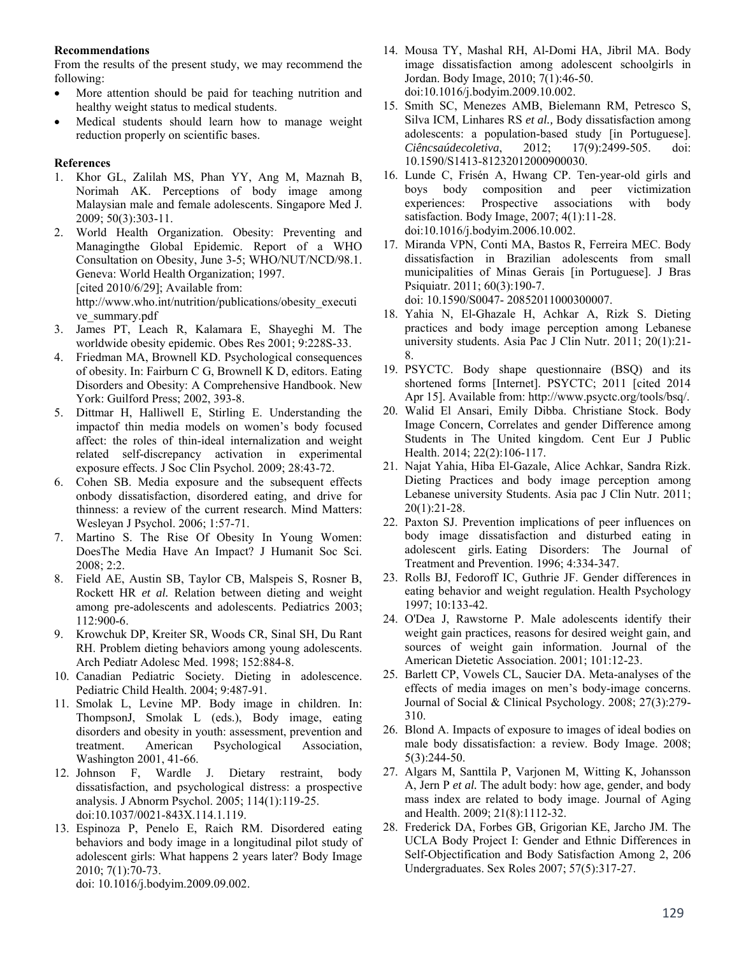## **Recommendations**

From the results of the present study, we may recommend the following:

- More attention should be paid for teaching nutrition and healthy weight status to medical students.
- Medical students should learn how to manage weight reduction properly on scientific bases.

## **References**

- 1. Khor GL, Zalilah MS, Phan YY, Ang M, Maznah B, Norimah AK. Perceptions of body image among Malaysian male and female adolescents. Singapore Med J. 2009; 50(3):303-11.
- 2. World Health Organization. Obesity: Preventing and Managingthe Global Epidemic. Report of a WHO Consultation on Obesity, June 3-5; WHO/NUT/NCD/98.1. Geneva: World Health Organization; 1997. [cited 2010/6/29]; Available from: http://www.who.int/nutrition/publications/obesity\_executi ve\_summary.pdf
- 3. James PT, Leach R, Kalamara E, Shayeghi M. The worldwide obesity epidemic. Obes Res 2001; 9:228S-33.
- 4. Friedman MA, Brownell KD. Psychological consequences of obesity. In: Fairburn C G, Brownell K D, editors. Eating Disorders and Obesity: A Comprehensive Handbook. New York: Guilford Press; 2002, 393-8.
- 5. Dittmar H, Halliwell E, Stirling E. Understanding the impactof thin media models on women's body focused affect: the roles of thin-ideal internalization and weight related self-discrepancy activation in experimental exposure effects. J Soc Clin Psychol. 2009; 28:43-72.
- 6. Cohen SB. Media exposure and the subsequent effects onbody dissatisfaction, disordered eating, and drive for thinness: a review of the current research. Mind Matters: Wesleyan J Psychol. 2006; 1:57-71.
- 7. Martino S. The Rise Of Obesity In Young Women: DoesThe Media Have An Impact? J Humanit Soc Sci. 2008; 2:2.
- 8. Field AE, Austin SB, Taylor CB, Malspeis S, Rosner B, Rockett HR *et al.* Relation between dieting and weight among pre-adolescents and adolescents. Pediatrics 2003; 112:900-6.
- 9. Krowchuk DP, Kreiter SR, Woods CR, Sinal SH, Du Rant RH. Problem dieting behaviors among young adolescents. Arch Pediatr Adolesc Med. 1998; 152:884-8.
- 10. Canadian Pediatric Society. Dieting in adolescence. Pediatric Child Health. 2004; 9:487-91.
- 11. Smolak L, Levine MP. Body image in children. In: ThompsonJ, Smolak L (eds.), Body image, eating disorders and obesity in youth: assessment, prevention and treatment. American Psychological Association, Washington 2001, 41-66.
- 12. Johnson F, Wardle J. Dietary restraint, body dissatisfaction, and psychological distress: a prospective analysis. J Abnorm Psychol. 2005; 114(1):119-25. doi:10.1037/0021-843X.114.1.119.
- 13. Espinoza P, Penelo E, Raich RM. Disordered eating behaviors and body image in a longitudinal pilot study of adolescent girls: What happens 2 years later? Body Image 2010; 7(1):70-73.

doi: 10.1016/j.bodyim.2009.09.002.

- 14. Mousa TY, Mashal RH, Al-Domi HA, Jibril MA. Body image dissatisfaction among adolescent schoolgirls in Jordan. Body Image, 2010; 7(1):46-50. doi:10.1016/j.bodyim.2009.10.002.
- 15. Smith SC, Menezes AMB, Bielemann RM, Petresco S, Silva ICM, Linhares RS *et al.,* Body dissatisfaction among adolescents: a population-based study [in Portuguese]. *Ciêncsaúdecoletiva*, 2012; 17(9):2499-505. doi: 10.1590/S1413-81232012000900030.
- 16. Lunde C, Frisén A, Hwang CP. Ten-year-old girls and boys body composition and peer victimization experiences: Prospective associations with body satisfaction. Body Image, 2007; 4(1):11-28. doi:10.1016/j.bodyim.2006.10.002.
- 17. Miranda VPN, Conti MA, Bastos R, Ferreira MEC. Body dissatisfaction in Brazilian adolescents from small municipalities of Minas Gerais [in Portuguese]. J Bras Psiquiatr. 2011; 60(3):190-7. doi: 10.1590/S0047- 20852011000300007.
- 18. Yahia N, El-Ghazale H, Achkar A, Rizk S. Dieting practices and body image perception among Lebanese university students. Asia Pac J Clin Nutr. 2011; 20(1):21- 8.
- 19. PSYCTC. Body shape questionnaire (BSQ) and its shortened forms [Internet]. PSYCTC; 2011 [cited 2014 Apr 15]. Available from: http://www.psyctc.org/tools/bsq/.
- 20. Walid El Ansari, Emily Dibba. Christiane Stock. Body Image Concern, Correlates and gender Difference among Students in The United kingdom. Cent Eur J Public Health. 2014; 22(2):106-117.
- 21. Najat Yahia, Hiba El-Gazale, Alice Achkar, Sandra Rizk. Dieting Practices and body image perception among Lebanese university Students. Asia pac J Clin Nutr. 2011; 20(1):21-28.
- 22. Paxton SJ. Prevention implications of peer influences on body image dissatisfaction and disturbed eating in adolescent girls*.* Eating Disorders: The Journal of Treatment and Prevention. 1996; 4:334-347.
- 23. Rolls BJ, Fedoroff IC, Guthrie JF. Gender differences in eating behavior and weight regulation. Health Psychology 1997; 10:133-42.
- 24. O'Dea J, Rawstorne P. Male adolescents identify their weight gain practices, reasons for desired weight gain, and sources of weight gain information. Journal of the American Dietetic Association. 2001; 101:12-23.
- 25. Barlett CP, Vowels CL, Saucier DA. Meta-analyses of the effects of media images on men's body-image concerns. Journal of Social & Clinical Psychology. 2008; 27(3):279- 310.
- 26. Blond A. Impacts of exposure to images of ideal bodies on male body dissatisfaction: a review. Body Image. 2008; 5(3):244-50.
- 27. Algars M, Santtila P, Varjonen M, Witting K, Johansson A, Jern P *et al.* The adult body: how age, gender, and body mass index are related to body image. Journal of Aging and Health. 2009; 21(8):1112-32.
- 28. Frederick DA, Forbes GB, Grigorian KE, Jarcho JM. The UCLA Body Project I: Gender and Ethnic Differences in Self-Objectification and Body Satisfaction Among 2, 206 Undergraduates. Sex Roles 2007; 57(5):317-27.